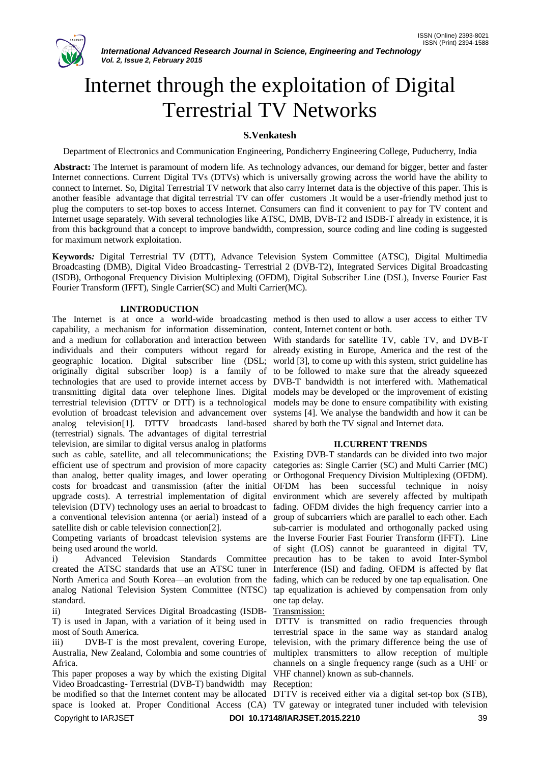# Internet through the exploitation of Digital Terrestrial TV Networks

## **S.Venkatesh**

Department of Electronics and Communication Engineering, Pondicherry Engineering College, Puducherry, India

**Abstract:** The Internet is paramount of modern life. As technology advances, our demand for bigger, better and faster Internet connections. Current Digital TVs (DTVs) which is universally growing across the world have the ability to connect to Internet. So, Digital Terrestrial TV network that also carry Internet data is the objective of this paper. This is another feasible advantage that digital terrestrial TV can offer customers .It would be a user-friendly method just to plug the computers to set-top boxes to access Internet. Consumers can find it convenient to pay for TV content and Internet usage separately. With several technologies like ATSC, DMB, DVB-T2 and ISDB-T already in existence, it is from this background that a concept to improve bandwidth, compression, source coding and line coding is suggested for maximum network exploitation.

**Keywords***:* Digital Terrestrial TV (DTT), Advance Television System Committee (ATSC), Digital Multimedia Broadcasting (DMB), Digital Video Broadcasting- Terrestrial 2 (DVB-T2), Integrated Services Digital Broadcasting (ISDB), Orthogonal Frequency Division Multiplexing (OFDM), Digital Subscriber Line (DSL), Inverse Fourier Fast Fourier Transform (IFFT), Single Carrier(SC) and Multi Carrier(MC).

### **I.INTRODUCTION**

The Internet is at once a world-wide broadcasting method is then used to allow a user access to either TV capability, a mechanism for information dissemination, content, Internet content or both. and a medium for collaboration and interaction between With standards for satellite TV, cable TV, and DVB-T individuals and their computers without regard for already existing in Europe, America and the rest of the geographic location. Digital subscriber line (DSL; world [3], to come up with this system, strict guideline has originally digital subscriber loop) is a family of to be followed to make sure that the already squeezed technologies that are used to provide internet access by DVB-T bandwidth is not interfered with. Mathematical transmitting digital data over telephone lines. Digital models may be developed or the improvement of existing terrestrial television (DTTV or DTT) is a technological evolution of broadcast television and advancement over analog television[1]. DTTV broadcasts land-based shared by both the TV signal and Internet data. (terrestrial) signals. The advantages of digital terrestrial television, are similar to digital versus analog in platforms such as cable, satellite, and all telecommunications; the Existing DVB-T standards can be divided into two major efficient use of spectrum and provision of more capacity categories as: Single Carrier (SC) and Multi Carrier (MC) than analog, better quality images, and lower operating costs for broadcast and transmission (after the initial upgrade costs). A terrestrial implementation of digital television (DTV) technology uses an aerial to broadcast to fading. OFDM divides the high frequency carrier into a a conventional television antenna (or aerial) instead of a satellite dish or cable television connection[2].

Competing variants of broadcast television systems are being used around the world.

i) Advanced Television Standards Committee created the ATSC standards that use an ATSC tuner in North America and South Korea—an evolution from the fading, which can be reduced by one tap equalisation. One analog National Television System Committee (NTSC) standard.

ii) Integrated Services Digital Broadcasting (ISDB-T) is used in Japan, with a variation of it being used in most of South America.

iii) DVB-T is the most prevalent, covering Europe, Australia, New Zealand, Colombia and some countries of Africa.

Copyright to IARJSET **DOI 10.17148/IARJSET.2015.2210** 39 This paper proposes a way by which the existing Digital VHF channel) known as sub-channels. Video Broadcasting- Terrestrial (DVB-T) bandwidth may Reception:

models may be done to ensure compatibility with existing systems [4]. We analyse the bandwidth and how it can be

### **II.CURRENT TRENDS**

or Orthogonal Frequency Division Multiplexing (OFDM). OFDM has been successful technique in noisy environment which are severely affected by multipath group of subcarriers which are parallel to each other. Each sub-carrier is modulated and orthogonally packed using the Inverse Fourier Fast Fourier Transform (IFFT). Line of sight (LOS) cannot be guaranteed in digital TV, precaution has to be taken to avoid Inter-Symbol Interference (ISI) and fading. OFDM is affected by flat tap equalization is achieved by compensation from only one tap delay.

### Transmission:

DTTV is transmitted on radio frequencies through terrestrial space in the same way as standard analog television, with the primary difference being the use of multiplex transmitters to allow reception of multiple channels on a single frequency range (such as a UHF or

be modified so that the Internet content may be allocated DTTV is received either via a digital set-top box (STB), space is looked at. Proper Conditional Access (CA) TV gateway or integrated tuner included with television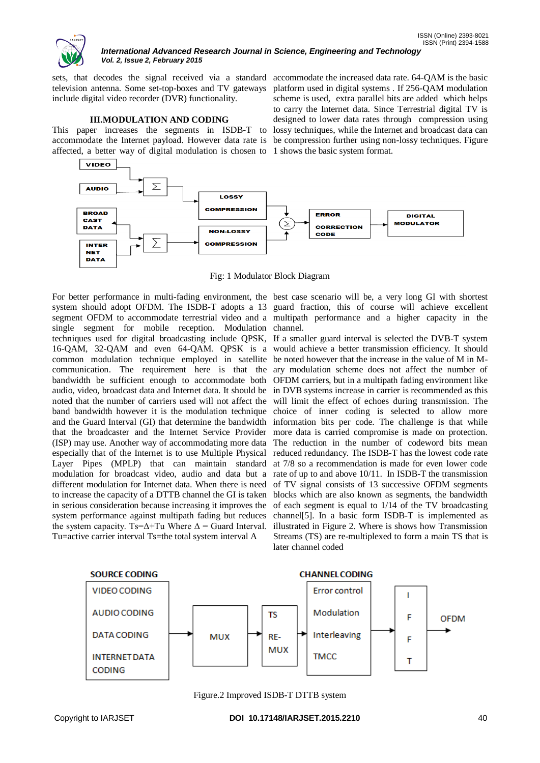

#### *International Advanced Research Journal in Science, Engineering and Technology Vol. 2, Issue 2, February 2015*

sets, that decodes the signal received via a standard accommodate the increased data rate. 64-QAM is the basic television antenna. Some set-top-boxes and TV gateways platform used in digital systems . If 256-QAM modulation include digital video recorder (DVR) functionality.

### **III.MODULATION AND CODING**

This paper increases the segments in ISDB-T to lossy techniques, while the Internet and broadcast data can accommodate the Internet payload. However data rate is be compression further using non-lossy techniques. Figure affected, a better way of digital modulation is chosen to 1 shows the basic system format.



Fig: 1 Modulator Block Diagram

system should adopt OFDM. The ISDB-T adopts a 13 guard fraction, this of course will achieve excellent segment OFDM to accommodate terrestrial video and a multipath performance and a higher capacity in the single segment for mobile reception. Modulation channel. techniques used for digital broadcasting include QPSK, If a smaller guard interval is selected the DVB-T system 16-QAM, 32-QAM and even 64-QAM. QPSK is a would achieve a better transmission efficiency. It should common modulation technique employed in satellite be noted however that the increase in the value of M in Mcommunication. The requirement here is that the ary modulation scheme does not affect the number of bandwidth be sufficient enough to accommodate both OFDM carriers, but in a multipath fading environment like audio, video, broadcast data and Internet data. It should be in DVB systems increase in carrier is recommended as this noted that the number of carriers used will not affect the band bandwidth however it is the modulation technique and the Guard Interval (GI) that determine the bandwidth that the broadcaster and the Internet Service Provider (ISP) may use. Another way of accommodating more data especially that of the Internet is to use Multiple Physical Layer Pipes (MPLP) that can maintain standard modulation for broadcast video, audio and data but a different modulation for Internet data. When there is need to increase the capacity of a DTTB channel the GI is taken blocks which are also known as segments, the bandwidth in serious consideration because increasing it improves the system performance against multipath fading but reduces the system capacity. Ts= $\Delta$ +Tu Where  $\Delta$  = Guard Interval. Tu=active carrier interval Ts=the total system interval A

For better performance in multi-fading environment, the best case scenario will be, a very long GI with shortest

scheme is used, extra parallel bits are added which helps to carry the Internet data. Since Terrestrial digital TV is designed to lower data rates through compression using

will limit the effect of echoes during transmission. The choice of inner coding is selected to allow more information bits per code. The challenge is that while more data is carried compromise is made on protection. The reduction in the number of codeword bits mean reduced redundancy. The ISDB-T has the lowest code rate at 7/8 so a recommendation is made for even lower code rate of up to and above 10/11. In ISDB-T the transmission of TV signal consists of 13 successive OFDM segments of each segment is equal to 1/14 of the TV broadcasting channel[5]. In a basic form ISDB-T is implemented as illustrated in Figure 2. Where is shows how Transmission Streams (TS) are re-multiplexed to form a main TS that is later channel coded



Figure.2 Improved ISDB-T DTTB system